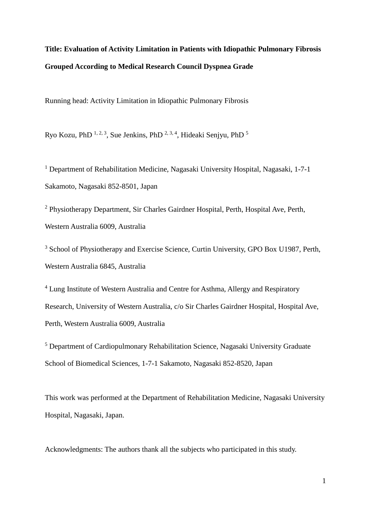## **Title: Evaluation of Activity Limitation in Patients with Idiopathic Pulmonary Fibrosis Grouped According to Medical Research Council Dyspnea Grade**

Running head: Activity Limitation in Idiopathic Pulmonary Fibrosis

Ryo Kozu, PhD  $^{1, 2, 3}$ , Sue Jenkins, PhD  $^{2, 3, 4}$ , Hideaki Senjyu, PhD  $^5$ 

<sup>1</sup> Department of Rehabilitation Medicine, Nagasaki University Hospital, Nagasaki, 1-7-1 Sakamoto, Nagasaki 852-8501, Japan

<sup>2</sup> Physiotherapy Department, Sir Charles Gairdner Hospital, Perth, Hospital Ave, Perth, Western Australia 6009, Australia

<sup>3</sup> School of Physiotherapy and Exercise Science, Curtin University, GPO Box U1987, Perth, Western Australia 6845, Australia

<sup>4</sup> Lung Institute of Western Australia and Centre for Asthma, Allergy and Respiratory Research, University of Western Australia, c/o Sir Charles Gairdner Hospital, Hospital Ave, Perth, Western Australia 6009, Australia

<sup>5</sup> Department of Cardiopulmonary Rehabilitation Science, Nagasaki University Graduate School of Biomedical Sciences, 1-7-1 Sakamoto, Nagasaki 852-8520, Japan

This work was performed at the Department of Rehabilitation Medicine, Nagasaki University Hospital, Nagasaki, Japan.

Acknowledgments: The authors thank all the subjects who participated in this study.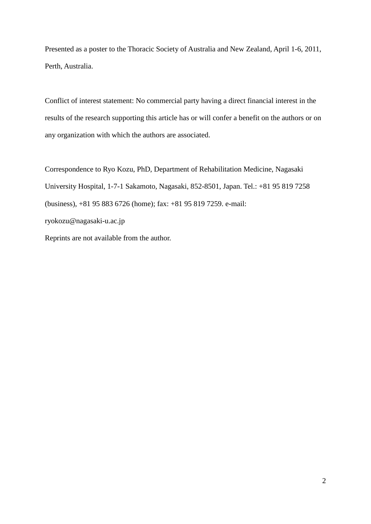Presented as a poster to the Thoracic Society of Australia and New Zealand, April 1-6, 2011, Perth, Australia.

Conflict of interest statement: No commercial party having a direct financial interest in the results of the research supporting this article has or will confer a benefit on the authors or on any organization with which the authors are associated.

Correspondence to Ryo Kozu, PhD, Department of Rehabilitation Medicine, Nagasaki University Hospital, 1-7-1 Sakamoto, Nagasaki, 852-8501, Japan. Tel.: +81 95 819 7258 (business), +81 95 883 6726 (home); fax: +81 95 819 7259. e-mail: ryokozu@nagasaki-u.ac.jp Reprints are not available from the author.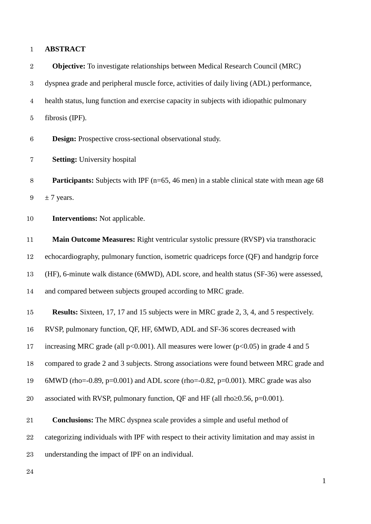#### **ABSTRACT**

 **Objective:** To investigate relationships between Medical Research Council (MRC) dyspnea grade and peripheral muscle force, activities of daily living (ADL) performance, health status, lung function and exercise capacity in subjects with idiopathic pulmonary fibrosis (IPF).

**Design:** Prospective cross-sectional observational study.

**Setting:** University hospital

8 **Participants:** Subjects with IPF (n=65, 46 men) in a stable clinical state with mean age 68 9  $\pm$  7 years.

**Interventions:** Not applicable.

 **Main Outcome Measures:** Right ventricular systolic pressure (RVSP) via transthoracic echocardiography, pulmonary function, isometric quadriceps force (QF) and handgrip force (HF), 6-minute walk distance (6MWD), ADL score, and health status (SF-36) were assessed, and compared between subjects grouped according to MRC grade.

**Results:** Sixteen, 17, 17 and 15 subjects were in MRC grade 2, 3, 4, and 5 respectively.

RVSP, pulmonary function, QF, HF, 6MWD, ADL and SF-36 scores decreased with

17 increasing MRC grade (all  $p<0.001$ ). All measures were lower ( $p<0.05$ ) in grade 4 and 5

compared to grade 2 and 3 subjects. Strong associations were found between MRC grade and

6MWD (rho=-0.89, p=0.001) and ADL score (rho=-0.82, p=0.001). MRC grade was also

20 associated with RVSP, pulmonary function, OF and HF (all rho≥0.56, p=0.001).

**Conclusions:** The MRC dyspnea scale provides a simple and useful method of

categorizing individuals with IPF with respect to their activity limitation and may assist in

understanding the impact of IPF on an individual.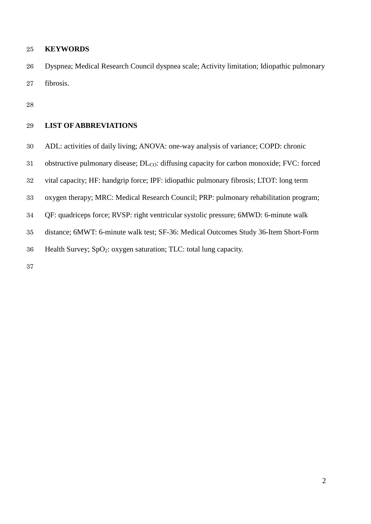#### **KEYWORDS**

 Dyspnea; Medical Research Council dyspnea scale; Activity limitation; Idiopathic pulmonary fibrosis.

### **LIST OF ABBREVIATIONS**

- ADL: activities of daily living; ANOVA: one-way analysis of variance; COPD: chronic
- 31 obstructive pulmonary disease; DL<sub>CO</sub>: diffusing capacity for carbon monoxide; FVC: forced
- vital capacity; HF: handgrip force; IPF: idiopathic pulmonary fibrosis; LTOT: long term
- oxygen therapy; MRC: Medical Research Council; PRP: pulmonary rehabilitation program;
- QF: quadriceps force; RVSP: right ventricular systolic pressure; 6MWD: 6-minute walk
- distance; 6MWT: 6-minute walk test; SF-36: Medical Outcomes Study 36-Item Short-Form
- Health Survey; SpO2: oxygen saturation; TLC: total lung capacity.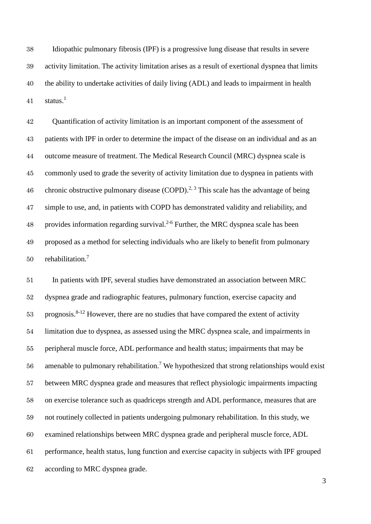Idiopathic pulmonary fibrosis (IPF) is a progressive lung disease that results in severe activity limitation. The activity limitation arises as a result of exertional dyspnea that limits the ability to undertake activities of daily living (ADL) and leads to impairment in health [1](#page-13-0) status.<sup>1</sup>

 Quantification of activity limitation is an important component of the assessment of patients with IPF in order to determine the impact of the disease on an individual and as an outcome measure of treatment. The Medical Research Council (MRC) dyspnea scale is commonly used to grade the severity of activity limitation due to dyspnea in patients with 46 chronic obstructive pulmonary disease  $(COPD)$ .<sup>[2,](#page-13-1) [3](#page-13-2)</sup> This scale has the advantage of being simple to use, and, in patients with COPD has demonstrated validity and reliability, and 48 provides information regarding survival.<sup>[2-6](#page-13-1)</sup> Further, the MRC dyspnea scale has been proposed as a method for selecting individuals who are likely to benefit from pulmonary 50 rehabilitation.<sup>7</sup>

 In patients with IPF, several studies have demonstrated an association between MRC dyspnea grade and radiographic features, pulmonary function, exercise capacity and prognosis.<sup>[8-12](#page-14-0)</sup> However, there are no studies that have compared the extent of activity limitation due to dyspnea, as assessed using the MRC dyspnea scale, and impairments in peripheral muscle force, ADL performance and health status; impairments that may be amenable to pulmonary rehabilitation.<sup>[7](#page-13-3)</sup> We hypothesized that strong relationships would exist between MRC dyspnea grade and measures that reflect physiologic impairments impacting on exercise tolerance such as quadriceps strength and ADL performance, measures that are not routinely collected in patients undergoing pulmonary rehabilitation. In this study, we examined relationships between MRC dyspnea grade and peripheral muscle force, ADL performance, health status, lung function and exercise capacity in subjects with IPF grouped according to MRC dyspnea grade.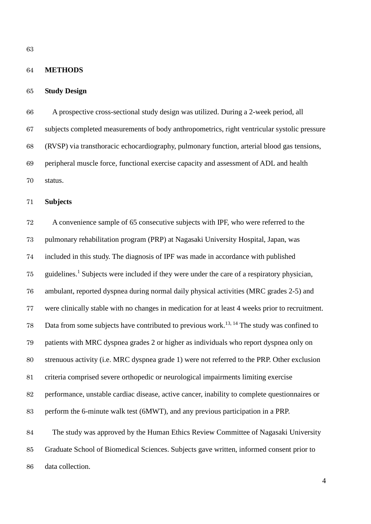#### **METHODS**

#### **Study Design**

 A prospective cross-sectional study design was utilized. During a 2-week period, all subjects completed measurements of body anthropometrics, right ventricular systolic pressure (RVSP) via transthoracic echocardiography, pulmonary function, arterial blood gas tensions, peripheral muscle force, functional exercise capacity and assessment of ADL and health status.

**Subjects**

 A convenience sample of 65 consecutive subjects with IPF, who were referred to the pulmonary rehabilitation program (PRP) at Nagasaki University Hospital, Japan, was included in this study. The diagnosis of IPF was made in accordance with published 75 guidelines.<sup>[1](#page-13-0)</sup> Subjects were included if they were under the care of a respiratory physician, ambulant, reported dyspnea during normal daily physical activities (MRC grades 2-5) and were clinically stable with no changes in medication for at least 4 weeks prior to recruitment. 78 Data from some subjects have contributed to previous work.<sup>[13,](#page-14-1) [14](#page-15-0)</sup> The study was confined to patients with MRC dyspnea grades 2 or higher as individuals who report dyspnea only on strenuous activity (i.e. MRC dyspnea grade 1) were not referred to the PRP. Other exclusion criteria comprised severe orthopedic or neurological impairments limiting exercise performance, unstable cardiac disease, active cancer, inability to complete questionnaires or perform the 6-minute walk test (6MWT), and any previous participation in a PRP. The study was approved by the Human Ethics Review Committee of Nagasaki University Graduate School of Biomedical Sciences. Subjects gave written, informed consent prior to data collection.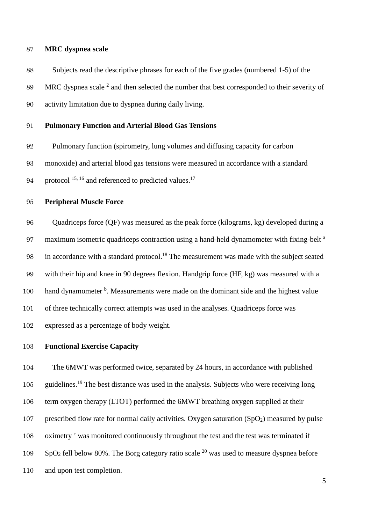#### **MRC dyspnea scale**

 Subjects read the descriptive phrases for each of the five grades (numbered 1-5) of the MRC dyspnea scale and then selected the number that best corresponded to their severity of activity limitation due to dyspnea during daily living.

#### **Pulmonary Function and Arterial Blood Gas Tensions**

Pulmonary function (spirometry, lung volumes and diffusing capacity for carbon

monoxide) and arterial blood gas tensions were measured in accordance with a standard

94 protocol  $15, 16$  $15, 16$  and referenced to predicted values.<sup>[17](#page-15-3)</sup>

#### **Peripheral Muscle Force**

 Quadriceps force (QF) was measured as the peak force (kilograms, kg) developed during a 97 maximum isometric quadriceps contraction using a hand-held dynamometer with fixing-belt <sup>a</sup> 98 in accordance with a standard protocol.<sup>[18](#page-15-4)</sup> The measurement was made with the subject seated with their hip and knee in 90 degrees flexion. Handgrip force (HF, kg) was measured with a hand dynamometer  $\mu$ . Measurements were made on the dominant side and the highest value of three technically correct attempts was used in the analyses. Quadriceps force was expressed as a percentage of body weight.

#### **Functional Exercise Capacity**

 The 6MWT was performed twice, separated by 24 hours, in accordance with published 105 guidelines.<sup>[19](#page-15-5)</sup> The best distance was used in the analysis. Subjects who were receiving long term oxygen therapy (LTOT) performed the 6MWT breathing oxygen supplied at their 107 prescribed flow rate for normal daily activities. Oxygen saturation  $(SpO<sub>2</sub>)$  measured by pulse 108 oximetry <sup>c</sup> was monitored continuously throughout the test and the test was terminated if SpO<sub>2</sub> fell below 80%. The Borg category ratio scale <sup>[20](#page-16-0)</sup> was used to measure dyspnea before and upon test completion.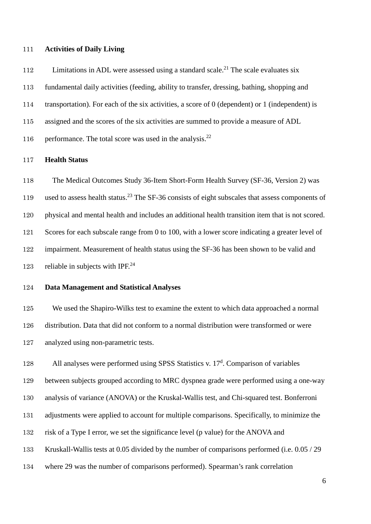#### **Activities of Daily Living**

112 Limitations in ADL were assessed using a standard scale.<sup>[21](#page-16-1)</sup> The scale evaluates six fundamental daily activities (feeding, ability to transfer, dressing, bathing, shopping and transportation). For each of the six activities, a score of 0 (dependent) or 1 (independent) is assigned and the scores of the six activities are summed to provide a measure of ADL 116 performance. The total score was used in the analysis.<sup>[22](#page-16-2)</sup>

#### **Health Status**

 The Medical Outcomes Study 36-Item Short-Form Health Survey (SF-36, Version 2) was 119 used to assess health status.<sup>[23](#page-16-3)</sup> The SF-36 consists of eight subscales that assess components of physical and mental health and includes an additional health transition item that is not scored. Scores for each subscale range from 0 to 100, with a lower score indicating a greater level of impairment. Measurement of health status using the SF-36 has been shown to be valid and 123 reliable in subjects with IPF.<sup>[24](#page-16-4)</sup>

#### **Data Management and Statistical Analyses**

 We used the Shapiro-Wilks test to examine the extent to which data approached a normal distribution. Data that did not conform to a normal distribution were transformed or were analyzed using non-parametric tests.

128 All analyses were performed using SPSS Statistics v.  $17<sup>d</sup>$ . Comparison of variables between subjects grouped according to MRC dyspnea grade were performed using a one-way analysis of variance (ANOVA) or the Kruskal-Wallis test, and Chi-squared test. Bonferroni adjustments were applied to account for multiple comparisons. Specifically, to minimize the risk of a Type I error, we set the significance level (p value) for the ANOVA and Kruskall-Wallis tests at 0.05 divided by the number of comparisons performed (i.e. 0.05 / 29 where 29 was the number of comparisons performed). Spearman's rank correlation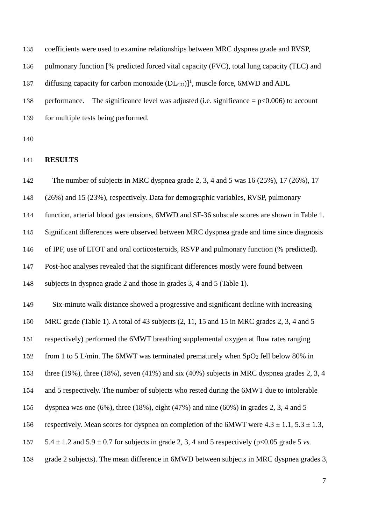coefficients were used to examine relationships between MRC dyspnea grade and RVSP,

136 pulmonary function [% predicted forced vital capacity (FVC), total lung capacity (TLC) and

[1](#page-13-0)37 diffusing capacity for carbon monoxide  $(DL_{CO})$ <sup>1</sup>, muscle force, 6MWD and ADL

138 performance. The significance level was adjusted (i.e. significance  $= p<0.006$ ) to account 139 for multiple tests being performed.

#### **RESULTS**

142 The number of subjects in MRC dyspnea grade 2, 3, 4 and 5 was 16 (25%), 17 (26%), 17 (26%) and 15 (23%), respectively. Data for demographic variables, RVSP, pulmonary function, arterial blood gas tensions, 6MWD and SF-36 subscale scores are shown in Table 1. Significant differences were observed between MRC dyspnea grade and time since diagnosis of IPF, use of LTOT and oral corticosteroids, RSVP and pulmonary function (% predicted). Post-hoc analyses revealed that the significant differences mostly were found between subjects in dyspnea grade 2 and those in grades 3, 4 and 5 (Table 1). Six-minute walk distance showed a progressive and significant decline with increasing MRC grade (Table 1). A total of 43 subjects (2, 11, 15 and 15 in MRC grades 2, 3, 4 and 5 respectively) performed the 6MWT breathing supplemental oxygen at flow rates ranging 152 from 1 to 5 L/min. The 6MWT was terminated prematurely when SpO<sub>2</sub> fell below 80% in 153 three (19%), three (18%), seven (41%) and six (40%) subjects in MRC dyspnea grades 2, 3, 4 and 5 respectively. The number of subjects who rested during the 6MWT due to intolerable dyspnea was one (6%), three (18%), eight (47%) and nine (60%) in grades 2, 3, 4 and 5 156 respectively. Mean scores for dyspnea on completion of the 6MWT were  $4.3 \pm 1.1$ ,  $5.3 \pm 1.3$ ,  $5.4 \pm 1.2$  and  $5.9 \pm 0.7$  for subjects in grade 2, 3, 4 and 5 respectively (p<0.05 grade 5 *vs.*) grade 2 subjects). The mean difference in 6MWD between subjects in MRC dyspnea grades 3,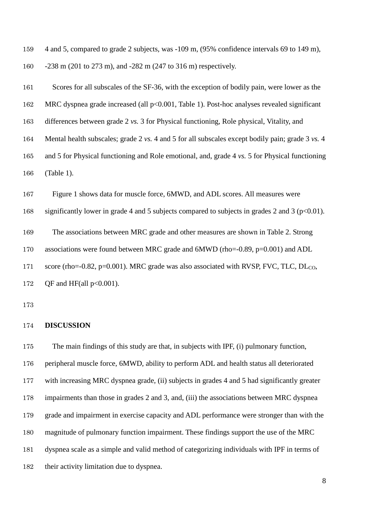4 and 5, compared to grade 2 subjects, was -109 m, (95% confidence intervals 69 to 149 m), -238 m (201 to 273 m), and -282 m (247 to 316 m) respectively.

161 Scores for all subscales of the SF-36, with the exception of bodily pain, were lower as the MRC dyspnea grade increased (all p<0.001, Table 1). Post-hoc analyses revealed significant differences between grade 2 *vs.* 3 for Physical functioning, Role physical, Vitality, and Mental health subscales; grade 2 *vs.* 4 and 5 for all subscales except bodily pain; grade 3 *vs.* 4 and 5 for Physical functioning and Role emotional, and, grade 4 *vs.* 5 for Physical functioning (Table 1).

Figure 1 shows data for muscle force, 6MWD, and ADL scores. All measures were

significantly lower in grade 4 and 5 subjects compared to subjects in grades 2 and 3 (p<0.01).

The associations between MRC grade and other measures are shown in Table 2. Strong

associations were found between MRC grade and 6MWD (rho=-0.89, p=0.001) and ADL

171 score (rho=-0.82, p=0.001). MRC grade was also associated with RVSP, FVC, TLC, DL<sub>CO</sub>,

172 OF and HF(all  $p<0.001$ ).

#### **DISCUSSION**

 The main findings of this study are that, in subjects with IPF, (i) pulmonary function, peripheral muscle force, 6MWD, ability to perform ADL and health status all deteriorated with increasing MRC dyspnea grade, (ii) subjects in grades 4 and 5 had significantly greater impairments than those in grades 2 and 3, and, (iii) the associations between MRC dyspnea grade and impairment in exercise capacity and ADL performance were stronger than with the magnitude of pulmonary function impairment. These findings support the use of the MRC dyspnea scale as a simple and valid method of categorizing individuals with IPF in terms of their activity limitation due to dyspnea.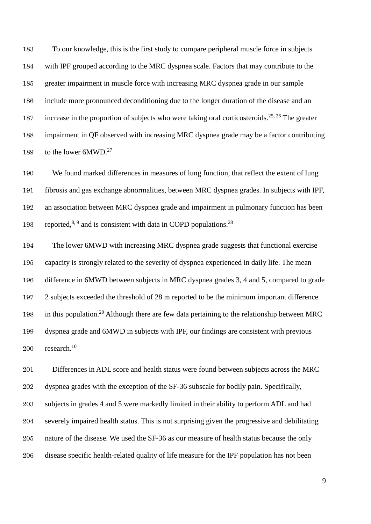To our knowledge, this is the first study to compare peripheral muscle force in subjects with IPF grouped according to the MRC dyspnea scale. Factors that may contribute to the greater impairment in muscle force with increasing MRC dyspnea grade in our sample include more pronounced deconditioning due to the longer duration of the disease and an 187 increase in the proportion of subjects who were taking oral corticosteroids.<sup>[25,](#page-16-5) [26](#page-16-6)</sup> The greater impairment in QF observed with increasing MRC dyspnea grade may be a factor contributing 189 to the lower  $6MWD.^{27}$  $6MWD.^{27}$  $6MWD.^{27}$ 

 We found marked differences in measures of lung function, that reflect the extent of lung fibrosis and gas exchange abnormalities, between MRC dyspnea grades. In subjects with IPF, an association between MRC dyspnea grade and impairment in pulmonary function has been 193 reported,<sup>[8,](#page-14-0) [9](#page-14-2)</sup> and is consistent with data in COPD populations.<sup>[28](#page-17-1)</sup>

 The lower 6MWD with increasing MRC dyspnea grade suggests that functional exercise capacity is strongly related to the severity of dyspnea experienced in daily life. The mean difference in 6MWD between subjects in MRC dyspnea grades 3, 4 and 5, compared to grade 2 subjects exceeded the threshold of 28 m reported to be the minimum important difference 198 in this population.<sup>[29](#page-17-2)</sup> Although there are few data pertaining to the relationship between MRC dyspnea grade and 6MWD in subjects with IPF, our findings are consistent with previous 200 research.

 Differences in ADL score and health status were found between subjects across the MRC dyspnea grades with the exception of the SF-36 subscale for bodily pain. Specifically, subjects in grades 4 and 5 were markedly limited in their ability to perform ADL and had severely impaired health status. This is not surprising given the progressive and debilitating nature of the disease. We used the SF-36 as our measure of health status because the only disease specific health-related quality of life measure for the IPF population has not been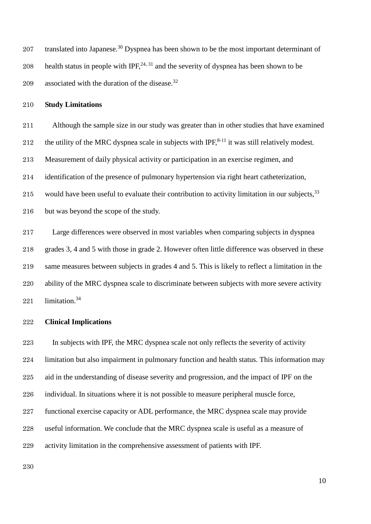207 translated into Japanese.<sup>30</sup> Dyspnea has been shown to be the most important determinant of 208 health status in people with IPF,  $24, 31$  $24, 31$  and the severity of dyspnea has been shown to be 209 associated with the duration of the disease.<sup>[32](#page-17-5)</sup>

#### **Study Limitations**

 Although the sample size in our study was greater than in other studies that have examined 212 the utility of the MRC dyspnea scale in subjects with IPF, $8-11$  it was still relatively modest. Measurement of daily physical activity or participation in an exercise regimen, and identification of the presence of pulmonary hypertension via right heart catheterization,

215 would have been useful to evaluate their contribution to activity limitation in our subjects,

216 but was beyond the scope of the study.

 Large differences were observed in most variables when comparing subjects in dyspnea 218 grades 3, 4 and 5 with those in grade 2. However often little difference was observed in these same measures between subjects in grades 4 and 5. This is likely to reflect a limitation in the 220 ability of the MRC dyspnea scale to discriminate between subjects with more severe activity limitation. [34](#page-18-1)

#### **Clinical Implications**

 In subjects with IPF, the MRC dyspnea scale not only reflects the severity of activity limitation but also impairment in pulmonary function and health status. This information may aid in the understanding of disease severity and progression, and the impact of IPF on the individual. In situations where it is not possible to measure peripheral muscle force, functional exercise capacity or ADL performance, the MRC dyspnea scale may provide useful information. We conclude that the MRC dyspnea scale is useful as a measure of activity limitation in the comprehensive assessment of patients with IPF.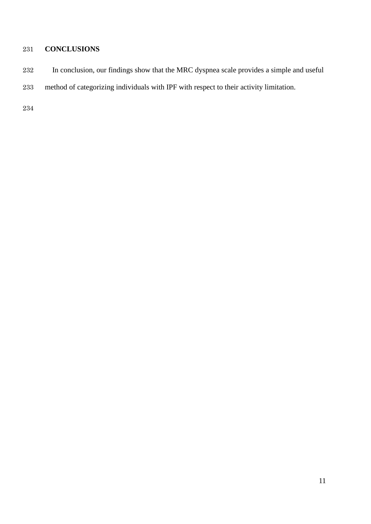## **CONCLUSIONS**

- In conclusion, our findings show that the MRC dyspnea scale provides a simple and useful
- method of categorizing individuals with IPF with respect to their activity limitation.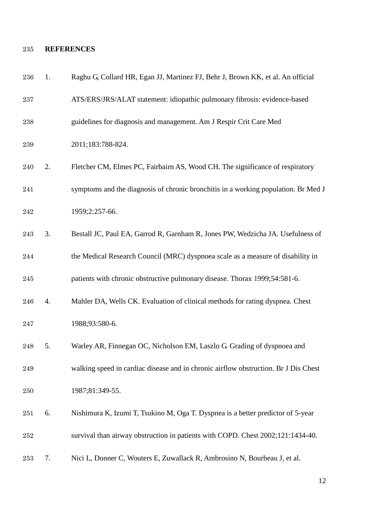## **REFERENCES**

<span id="page-13-3"></span><span id="page-13-2"></span><span id="page-13-1"></span><span id="page-13-0"></span>

| 236     | 1. | Raghu G, Collard HR, Egan JJ, Martinez FJ, Behr J, Brown KK, et al. An official     |
|---------|----|-------------------------------------------------------------------------------------|
| 237     |    | ATS/ERS/JRS/ALAT statement: idiopathic pulmonary fibrosis: evidence-based           |
| 238     |    | guidelines for diagnosis and management. Am J Respir Crit Care Med                  |
| $\,239$ |    | 2011;183:788-824.                                                                   |
| 240     | 2. | Fletcher CM, Elmes PC, Fairbairn AS, Wood CH. The significance of respiratory       |
| 241     |    | symptoms and the diagnosis of chronic bronchitis in a working population. Br Med J  |
| 242     |    | 1959;2:257-66.                                                                      |
| 243     | 3. | Bestall JC, Paul EA, Garrod R, Garnham R, Jones PW, Wedzicha JA. Usefulness of      |
| 244     |    | the Medical Research Council (MRC) dyspnoea scale as a measure of disability in     |
| 245     |    | patients with chronic obstructive pulmonary disease. Thorax 1999;54:581-6.          |
| 246     | 4. | Mahler DA, Wells CK. Evaluation of clinical methods for rating dyspnea. Chest       |
| 247     |    | 1988;93:580-6.                                                                      |
| 248     | 5. | Warley AR, Finnegan OC, Nicholson EM, Laszlo G. Grading of dyspnoea and             |
| 249     |    | walking speed in cardiac disease and in chronic airflow obstruction. Br J Dis Chest |
| 250     |    | 1987;81:349-55.                                                                     |
| 251     | 6. | Nishimura K, Izumi T, Tsukino M, Oga T. Dyspnea is a better predictor of 5-year     |
| 252     |    | survival than airway obstruction in patients with COPD. Chest 2002;121:1434-40.     |
| 253     | 7. | Nici L, Donner C, Wouters E, Zuwallack R, Ambrosino N, Bourbeau J, et al.           |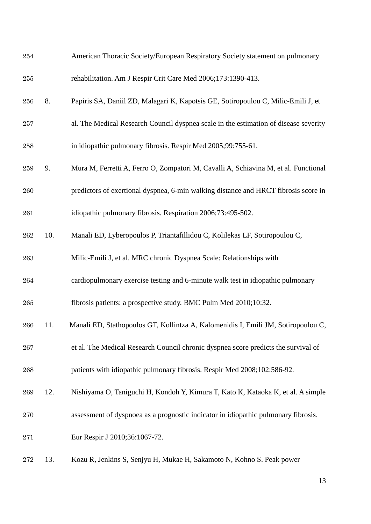<span id="page-14-3"></span><span id="page-14-2"></span><span id="page-14-1"></span><span id="page-14-0"></span>

| 254 |     | American Thoracic Society/European Respiratory Society statement on pulmonary        |
|-----|-----|--------------------------------------------------------------------------------------|
| 255 |     | rehabilitation. Am J Respir Crit Care Med 2006;173:1390-413.                         |
| 256 | 8.  | Papiris SA, Daniil ZD, Malagari K, Kapotsis GE, Sotiropoulou C, Milic-Emili J, et    |
| 257 |     | al. The Medical Research Council dyspnea scale in the estimation of disease severity |
| 258 |     | in idiopathic pulmonary fibrosis. Respir Med 2005;99:755-61.                         |
| 259 | 9.  | Mura M, Ferretti A, Ferro O, Zompatori M, Cavalli A, Schiavina M, et al. Functional  |
| 260 |     | predictors of exertional dyspnea, 6-min walking distance and HRCT fibrosis score in  |
| 261 |     | idiopathic pulmonary fibrosis. Respiration 2006;73:495-502.                          |
| 262 | 10. | Manali ED, Lyberopoulos P, Triantafillidou C, Kolilekas LF, Sotiropoulou C,          |
| 263 |     | Milic-Emili J, et al. MRC chronic Dyspnea Scale: Relationships with                  |
| 264 |     | cardiopulmonary exercise testing and 6-minute walk test in idiopathic pulmonary      |
| 265 |     | fibrosis patients: a prospective study. BMC Pulm Med 2010;10:32.                     |
| 266 | 11. | Manali ED, Stathopoulos GT, Kollintza A, Kalomenidis I, Emili JM, Sotiropoulou C,    |
| 267 |     | et al. The Medical Research Council chronic dyspnea score predicts the survival of   |
| 268 |     | patients with idiopathic pulmonary fibrosis. Respir Med 2008;102:586-92.             |
| 269 | 12. | Nishiyama O, Taniguchi H, Kondoh Y, Kimura T, Kato K, Kataoka K, et al. A simple     |
| 270 |     | assessment of dyspnoea as a prognostic indicator in idiopathic pulmonary fibrosis.   |
| 271 |     | Eur Respir J 2010;36:1067-72.                                                        |
| 272 | 13. | Kozu R, Jenkins S, Senjyu H, Mukae H, Sakamoto N, Kohno S. Peak power                |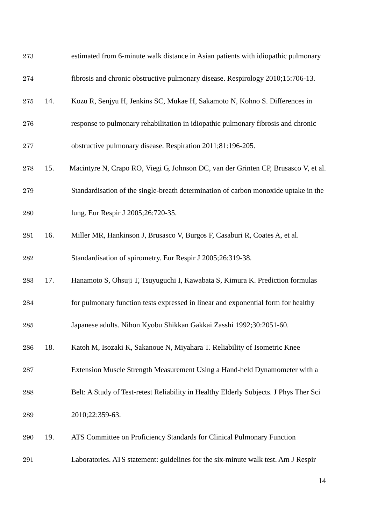<span id="page-15-5"></span><span id="page-15-4"></span><span id="page-15-3"></span><span id="page-15-2"></span><span id="page-15-1"></span><span id="page-15-0"></span>

| 273 |     | estimated from 6-minute walk distance in Asian patients with idiopathic pulmonary     |
|-----|-----|---------------------------------------------------------------------------------------|
| 274 |     | fibrosis and chronic obstructive pulmonary disease. Respirology 2010;15:706-13.       |
| 275 | 14. | Kozu R, Senjyu H, Jenkins SC, Mukae H, Sakamoto N, Kohno S. Differences in            |
| 276 |     | response to pulmonary rehabilitation in idiopathic pulmonary fibrosis and chronic     |
| 277 |     | obstructive pulmonary disease. Respiration 2011;81:196-205.                           |
| 278 | 15. | Macintyre N, Crapo RO, Viegi G, Johnson DC, van der Grinten CP, Brusasco V, et al.    |
| 279 |     | Standardisation of the single-breath determination of carbon monoxide uptake in the   |
| 280 |     | lung. Eur Respir J 2005;26:720-35.                                                    |
| 281 | 16. | Miller MR, Hankinson J, Brusasco V, Burgos F, Casaburi R, Coates A, et al.            |
| 282 |     | Standardisation of spirometry. Eur Respir J 2005;26:319-38.                           |
| 283 | 17. | Hanamoto S, Ohsuji T, Tsuyuguchi I, Kawabata S, Kimura K. Prediction formulas         |
| 284 |     | for pulmonary function tests expressed in linear and exponential form for healthy     |
| 285 |     | Japanese adults. Nihon Kyobu Shikkan Gakkai Zasshi 1992;30:2051-60.                   |
| 286 | 18. | Katoh M, Isozaki K, Sakanoue N, Miyahara T. Reliability of Isometric Knee             |
| 287 |     | Extension Muscle Strength Measurement Using a Hand-held Dynamometer with a            |
| 288 |     | Belt: A Study of Test-retest Reliability in Healthy Elderly Subjects. J Phys Ther Sci |
| 289 |     | 2010;22:359-63.                                                                       |
| 290 | 19. | ATS Committee on Proficiency Standards for Clinical Pulmonary Function                |
| 291 |     | Laboratories. ATS statement: guidelines for the six-minute walk test. Am J Respir     |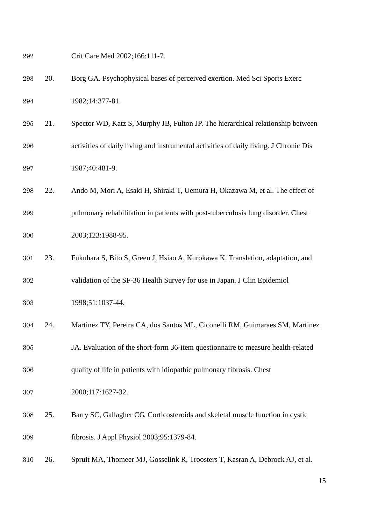<span id="page-16-6"></span><span id="page-16-5"></span><span id="page-16-4"></span><span id="page-16-3"></span><span id="page-16-2"></span><span id="page-16-1"></span><span id="page-16-0"></span> Crit Care Med 2002;166:111-7. 20. Borg GA. Psychophysical bases of perceived exertion. Med Sci Sports Exerc 1982;14:377-81. 21. Spector WD, Katz S, Murphy JB, Fulton JP. The hierarchical relationship between activities of daily living and instrumental activities of daily living. J Chronic Dis 1987;40:481-9. 22. Ando M, Mori A, Esaki H, Shiraki T, Uemura H, Okazawa M, et al. The effect of pulmonary rehabilitation in patients with post-tuberculosis lung disorder. Chest 2003;123:1988-95. 23. Fukuhara S, Bito S, Green J, Hsiao A, Kurokawa K. Translation, adaptation, and validation of the SF-36 Health Survey for use in Japan. J Clin Epidemiol 1998;51:1037-44. 24. Martinez TY, Pereira CA, dos Santos ML, Ciconelli RM, Guimaraes SM, Martinez JA. Evaluation of the short-form 36-item questionnaire to measure health-related quality of life in patients with idiopathic pulmonary fibrosis. Chest 2000;117:1627-32. 25. Barry SC, Gallagher CG. Corticosteroids and skeletal muscle function in cystic fibrosis. J Appl Physiol 2003;95:1379-84. 26. Spruit MA, Thomeer MJ, Gosselink R, Troosters T, Kasran A, Debrock AJ, et al.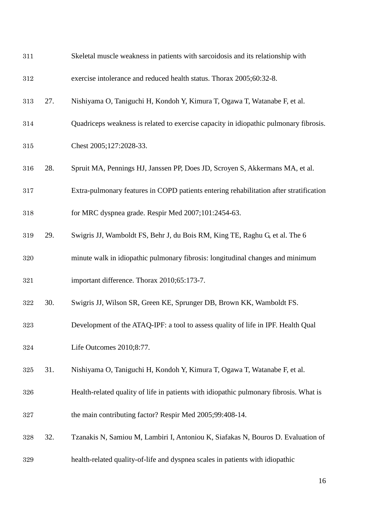<span id="page-17-5"></span><span id="page-17-4"></span><span id="page-17-3"></span><span id="page-17-2"></span><span id="page-17-1"></span><span id="page-17-0"></span>

| 311 |     | Skeletal muscle weakness in patients with sarcoidosis and its relationship with        |
|-----|-----|----------------------------------------------------------------------------------------|
| 312 |     | exercise intolerance and reduced health status. Thorax 2005;60:32-8.                   |
| 313 | 27. | Nishiyama O, Taniguchi H, Kondoh Y, Kimura T, Ogawa T, Watanabe F, et al.              |
| 314 |     | Quadriceps weakness is related to exercise capacity in idiopathic pulmonary fibrosis.  |
| 315 |     | Chest 2005;127:2028-33.                                                                |
| 316 | 28. | Spruit MA, Pennings HJ, Janssen PP, Does JD, Scroyen S, Akkermans MA, et al.           |
| 317 |     | Extra-pulmonary features in COPD patients entering rehabilitation after stratification |
| 318 |     | for MRC dyspnea grade. Respir Med 2007;101:2454-63.                                    |
| 319 | 29. | Swigris JJ, Wamboldt FS, Behr J, du Bois RM, King TE, Raghu G, et al. The 6            |
| 320 |     | minute walk in idiopathic pulmonary fibrosis: longitudinal changes and minimum         |
| 321 |     | important difference. Thorax 2010;65:173-7.                                            |
| 322 | 30. | Swigris JJ, Wilson SR, Green KE, Sprunger DB, Brown KK, Wamboldt FS.                   |
| 323 |     | Development of the ATAQ-IPF: a tool to assess quality of life in IPF. Health Qual      |
| 324 |     | Life Outcomes 2010;8:77.                                                               |
| 325 | 31. | Nishiyama O, Taniguchi H, Kondoh Y, Kimura T, Ogawa T, Watanabe F, et al.              |
| 326 |     | Health-related quality of life in patients with idiopathic pulmonary fibrosis. What is |
| 327 |     | the main contributing factor? Respir Med 2005;99:408-14.                               |
| 328 | 32. | Tzanakis N, Samiou M, Lambiri I, Antoniou K, Siafakas N, Bouros D. Evaluation of       |
| 329 |     | health-related quality-of-life and dyspnea scales in patients with idiopathic          |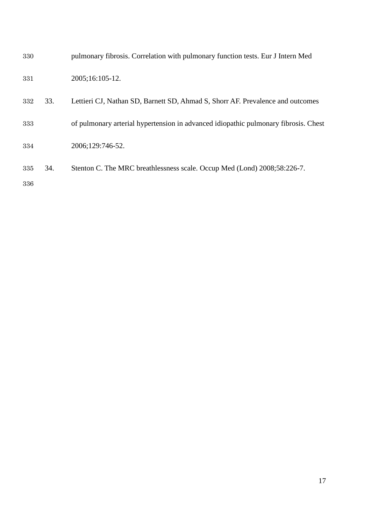<span id="page-18-1"></span><span id="page-18-0"></span>

| 330 |     | pulmonary fibrosis. Correlation with pulmonary function tests. Eur J Intern Med     |
|-----|-----|-------------------------------------------------------------------------------------|
| 331 |     | 2005;16:105-12.                                                                     |
| 332 | 33. | Lettieri CJ, Nathan SD, Barnett SD, Ahmad S, Shorr AF. Prevalence and outcomes      |
| 333 |     | of pulmonary arterial hypertension in advanced idiopathic pulmonary fibrosis. Chest |
| 334 |     | 2006;129:746-52.                                                                    |
| 335 | 34. | Stenton C. The MRC breathlessness scale. Occup Med (Lond) 2008;58:226-7.            |
| 336 |     |                                                                                     |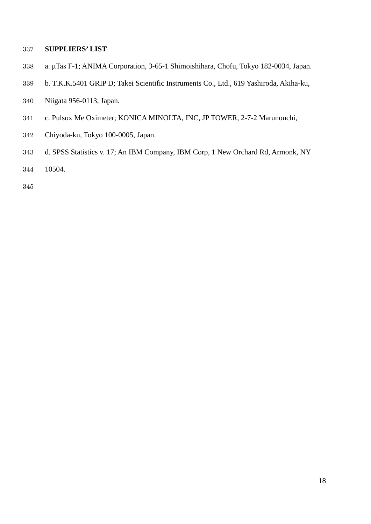#### **SUPPLIERS' LIST**

- a. μTas F-1; ANIMA Corporation, 3-65-1 Shimoishihara, Chofu, Tokyo 182-0034, Japan.
- b. T.K.K.5401 GRIP D; Takei Scientific Instruments Co., Ltd., 619 Yashiroda, Akiha-ku,
- Niigata 956-0113, Japan.
- c. Pulsox Me Oximeter; KONICA MINOLTA, INC, JP TOWER, 2-7-2 Marunouchi,
- Chiyoda-ku, Tokyo 100-0005, Japan.
- d. SPSS Statistics v. 17; An IBM Company, IBM Corp, 1 New Orchard Rd, Armonk, NY
- 10504.
-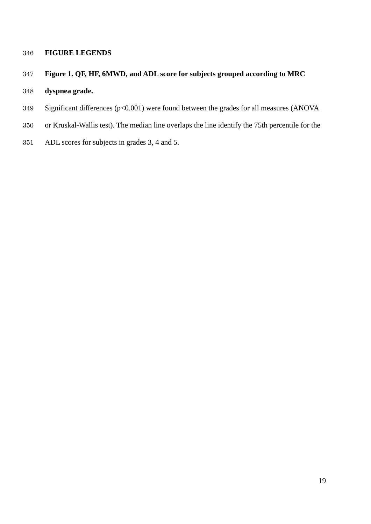#### **FIGURE LEGENDS**

## **Figure 1. QF, HF, 6MWD, and ADL score for subjects grouped according to MRC**

## **dyspnea grade.**

- Significant differences (p<0.001) were found between the grades for all measures (ANOVA
- or Kruskal-Wallis test). The median line overlaps the line identify the 75th percentile for the
- ADL scores for subjects in grades 3, 4 and 5.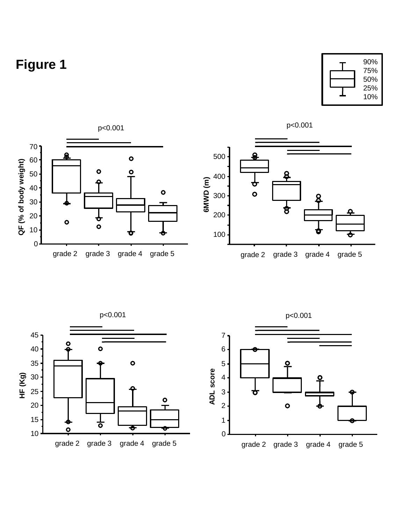# **Figure 1**









p<0.001

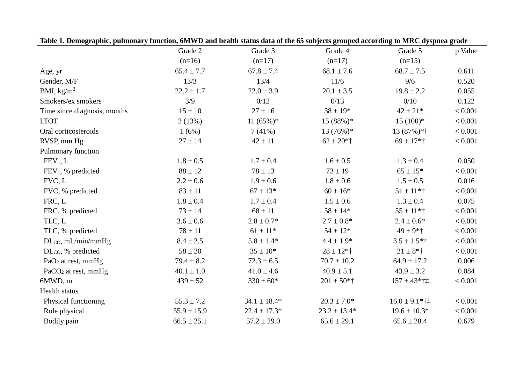|                                | Grade 2         | Grade 3          | Grade 4          | Grade 5                      | p Value |
|--------------------------------|-----------------|------------------|------------------|------------------------------|---------|
|                                | $(n=16)$        | $(n=17)$         | $(n=17)$         | $(n=15)$                     |         |
| Age, yr                        | $65.4 \pm 7.7$  | $67.8 \pm 7.4$   | $68.1 \pm 7.6$   | $68.7 \pm 7.5$               | 0.611   |
| Gender, M/F                    | 13/3            | 13/4             | 11/6             | 9/6                          | 0.520   |
| BMI, $\text{kg/m}^2$           | $22.2 \pm 1.7$  | $22.0 \pm 3.9$   | $20.1 \pm 3.5$   | $19.8 \pm 2.2$               | 0.055   |
| Smokers/ex smokers             | 3/9             | 0/12             | 0/13             | 0/10                         | 0.122   |
| Time since diagnosis, months   | $15 \pm 10$     | $27 \pm 16$      | $38 \pm 19*$     | $42 \pm 21*$                 | < 0.001 |
| <b>LTOT</b>                    | 2(13%)          | $11(65\%)*$      | $15(88%)$ *      | $15(100)*$                   | < 0.001 |
| Oral corticosteroids           | 1(6%)           | 7(41%)           | $13(76\%)*$      | $13(87\%)$ *†                | < 0.001 |
| RVSP, mm Hg                    | $27 \pm 14$     | $42 \pm 11$      | $62 \pm 20$ *†   | $69 \pm 17$ *†               | < 0.001 |
| Pulmonary function             |                 |                  |                  |                              |         |
| FEV <sub>1</sub> , L           | $1.8 \pm 0.5$   | $1.7 \pm 0.4$    | $1.6 \pm 0.5$    | $1.3 \pm 0.4$                | 0.050   |
| $FEV1$ , % predicted           | $88 \pm 12$     | $78 \pm 13$      | $73 \pm 19$      | $65 \pm 15*$                 | < 0.001 |
| FVC, L                         | $2.2 \pm 0.6$   | $1.9 \pm 0.6$    | $1.8 \pm 0.6$    | $1.5 \pm 0.5$                | 0.016   |
| FVC, % predicted               | $83 \pm 11$     | $67 \pm 13*$     | $60 \pm 16*$     | $51 \pm 11$ *†               | < 0.001 |
| FRC, L                         | $1.8\pm0.4$     | $1.7 \pm 0.4$    | $1.5 \pm 0.6$    | $1.3 \pm 0.4$                | 0.075   |
| FRC, % predicted               | $73 \pm 14$     | $68 \pm 11$      | $58 \pm 14*$     | $55 \pm 11$ *†               | < 0.001 |
| TLC, L                         | $3.6 \pm 0.6$   | $2.8 \pm 0.7*$   | $2.7 \pm 0.8*$   | $2.4 \pm 0.6*$               | < 0.001 |
| TLC, % predicted               | $78 \pm 11$     | $61 \pm 11*$     | $54 \pm 12*$     | $49 \pm 9*$ †                | < 0.001 |
| $DL_{CO}$ , mL/min/mmHg        | $8.4 \pm 2.5$   | $5.8 \pm 1.4*$   | $4.4 \pm 1.9*$   | $3.5 \pm 1.5*$ †             | < 0.001 |
| DL <sub>co</sub> , % predicted | $58 \pm 20$     | $35 \pm 10^*$    | $28 \pm 12$ *†   | $21 \pm 8$ *†                | < 0.001 |
| PaO <sub>2</sub> at rest, mmHg | $79.4 \pm 8.2$  | $72.3 \pm 6.5$   | $70.7 \pm 10.2$  | $64.9 \pm 17.2$              | 0.006   |
| $PaCO2$ at rest, mmHg          | $40.1 \pm 1.0$  | $41.0 \pm 4.6$   | $40.9 \pm 5.1$   | $43.9 \pm 3.2$               | 0.084   |
| 6MWD, m                        | $439 \pm 52$    | $330 \pm 60*$    | $201 \pm 50*$ †  | $157 \pm 43$ *†‡             | < 0.001 |
| Health status                  |                 |                  |                  |                              |         |
| Physical functioning           | $55.3 \pm 7.2$  | $34.1 \pm 18.4*$ | $20.3 \pm 7.0*$  | $16.0 \pm 9.1$ *† $\ddagger$ | < 0.001 |
| Role physical                  | $55.9 \pm 15.9$ | $22.4 \pm 17.3*$ | $23.2 \pm 13.4*$ | $19.6 \pm 10.3*$             | < 0.001 |
| Bodily pain                    | $66.5 \pm 25.1$ | $57.2 \pm 29.0$  | $65.6 \pm 29.1$  | $65.6 \pm 28.4$              | 0.679   |

**Table 1. Demographic, pulmonary function, 6MWD and health status data of the 65 subjects grouped according to MRC dyspnea grade**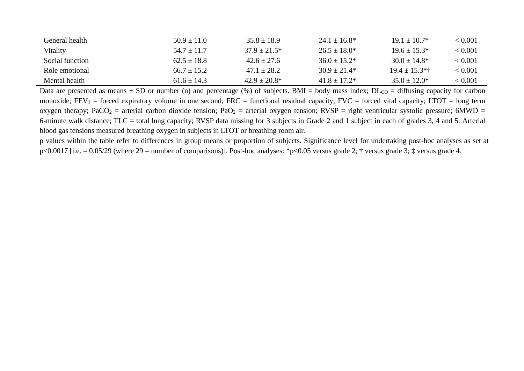| General health  | $50.9 + 11.0$ | $35.8 + 18.9$     | $24.1 + 16.8*$ | $19.1 + 10.7*$     | < 0.001 |
|-----------------|---------------|-------------------|----------------|--------------------|---------|
| Vitality        | $54.7 + 11.7$ | $37.9 \pm 21.5^*$ | $26.5 + 18.0*$ | $19.6 + 15.3*$     | < 0.001 |
| Social function | $62.5 + 18.8$ | $42.6 + 27.6$     | $36.0 + 15.2*$ | $30.0 \pm 14.8^*$  | < 0.001 |
| Role emotional  | $66.7 + 15.2$ | $47.1 + 28.2$     | $30.9 + 21.4*$ | $19.4 \pm 15.3$ *† | < 0.001 |
| Mental health   | $61.6 + 14.3$ | $42.9 + 20.8*$    | $41.8 + 17.2*$ | $35.0 + 12.0*$     | < 0.001 |

Data are presented as means  $\pm$  SD or number (n) and percentage (%) of subjects. BMI = body mass index; DL<sub>CO</sub> = diffusing capacity for carbon monoxide;  $FEV_1$  = forced expiratory volume in one second;  $FRC$  = functional residual capacity;  $FVC$  = forced vital capacity; LTOT = long term oxygen therapy; PaCO<sub>2</sub> = arterial carbon dioxide tension; PaO<sub>2</sub> = arterial oxygen tension; RVSP = right ventricular systolic pressure; 6MWD = 6-minute walk distance; TLC = total lung capacity; RVSP data missing for 3 subjects in Grade 2 and 1 subject in each of grades 3, 4 and 5. Arterial blood gas tensions measured breathing oxygen in subjects in LTOT or breathing room air.

p values within the table refer to differences in group means or proportion of subjects. Significance level for undertaking post-hoc analyses as set at p<0.0017 [i.e. = 0.05/29 (where 29 = number of comparisons)]. Post-hoc analyses: \*p<0.05 versus grade 2; † versus grade 3; ‡ versus grade 4.